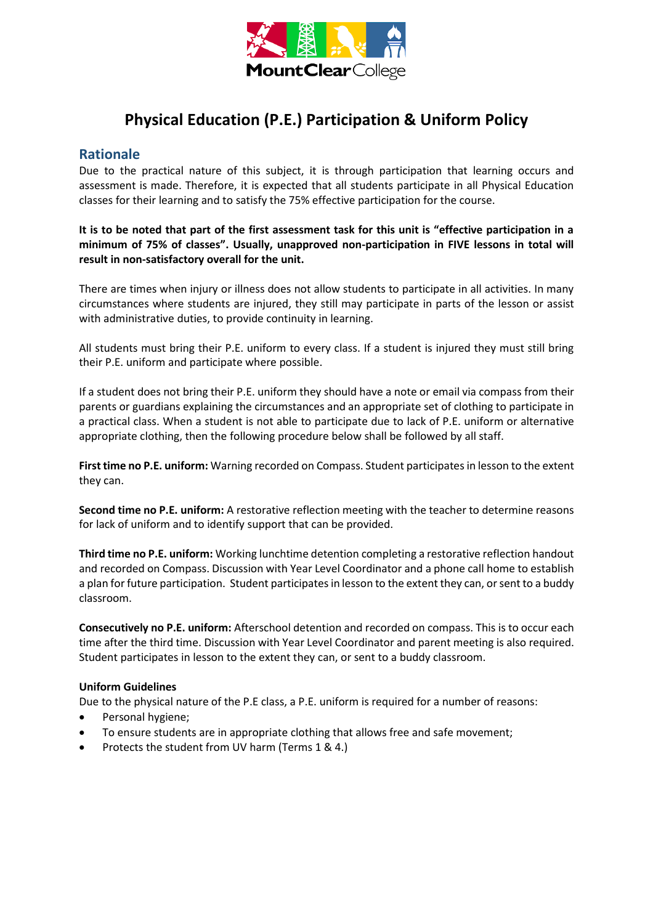

# **Physical Education (P.E.) Participation & Uniform Policy**

# **Rationale**

Due to the practical nature of this subject, it is through participation that learning occurs and assessment is made. Therefore, it is expected that all students participate in all Physical Education classes for their learning and to satisfy the 75% effective participation for the course.

## **It is to be noted that part of the first assessment task for this unit is "effective participation in a minimum of 75% of classes". Usually, unapproved non-participation in FIVE lessons in total will result in non-satisfactory overall for the unit.**

There are times when injury or illness does not allow students to participate in all activities. In many circumstances where students are injured, they still may participate in parts of the lesson or assist with administrative duties, to provide continuity in learning.

All students must bring their P.E. uniform to every class. If a student is injured they must still bring their P.E. uniform and participate where possible.

If a student does not bring their P.E. uniform they should have a note or email via compass from their parents or guardians explaining the circumstances and an appropriate set of clothing to participate in a practical class. When a student is not able to participate due to lack of P.E. uniform or alternative appropriate clothing, then the following procedure below shall be followed by all staff.

**First time no P.E. uniform:** Warning recorded on Compass. Student participates in lesson to the extent they can.

**Second time no P.E. uniform:** A restorative reflection meeting with the teacher to determine reasons for lack of uniform and to identify support that can be provided.

**Third time no P.E. uniform:** Working lunchtime detention completing a restorative reflection handout and recorded on Compass. Discussion with Year Level Coordinator and a phone call home to establish a plan for future participation. Student participates in lesson to the extent they can, or sent to a buddy classroom.

**Consecutively no P.E. uniform:** Afterschool detention and recorded on compass. This is to occur each time after the third time. Discussion with Year Level Coordinator and parent meeting is also required. Student participates in lesson to the extent they can, or sent to a buddy classroom.

#### **Uniform Guidelines**

Due to the physical nature of the P.E class, a P.E. uniform is required for a number of reasons:

- Personal hygiene;
- To ensure students are in appropriate clothing that allows free and safe movement;
- Protects the student from UV harm (Terms 1 & 4.)